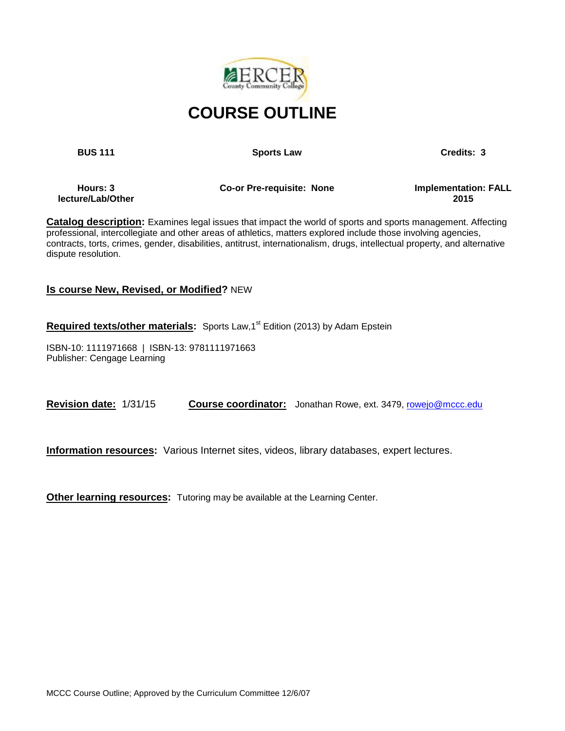

**BUS 111 Credits: 3 Sports Law Credits: 3** 

**Hours: 3 lecture/Lab/Other**  **Co-or Pre-requisite: None Implementation: FALL** 

**2015**

**Catalog description:** Examines legal issues that impact the world of sports and sports management. Affecting professional, intercollegiate and other areas of athletics, matters explored include those involving agencies, contracts, torts, crimes, gender, disabilities, antitrust, internationalism, drugs, intellectual property, and alternative dispute resolution.

### **Is course New, Revised, or Modified?** NEW

Required texts/other materials: Sports Law,1<sup>st</sup> Edition (2013) by Adam Epstein

ISBN-10: 1111971668 | ISBN-13: 9781111971663 Publisher: Cengage Learning

**Revision date:** 1/31/15 **Course coordinator:** Jonathan Rowe, ext. 3479[, rowejo@mccc.edu](mailto:rowejo@mccc.edu)

**Information resources:** Various Internet sites, videos, library databases, expert lectures.

**Other learning resources:** Tutoring may be available at the Learning Center.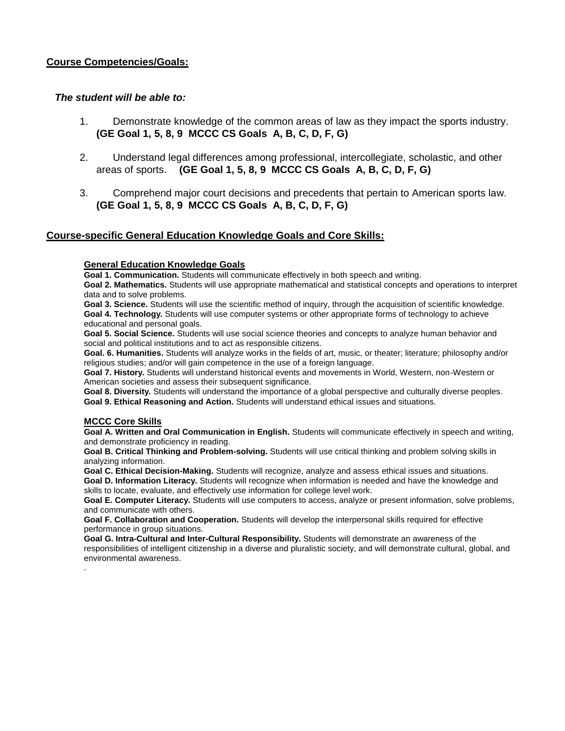#### **Course Competencies/Goals:**

#### *The student will be able to:*

- 1. Demonstrate knowledge of the common areas of law as they impact the sports industry. **(GE Goal 1, 5, 8, 9 MCCC CS Goals A, B, C, D, F, G)**
- 2. Understand legal differences among professional, intercollegiate, scholastic, and other areas of sports. **(GE Goal 1, 5, 8, 9 MCCC CS Goals A, B, C, D, F, G)**
- 3. Comprehend major court decisions and precedents that pertain to American sports law. **(GE Goal 1, 5, 8, 9 MCCC CS Goals A, B, C, D, F, G)**

#### **Course-specific General Education Knowledge Goals and Core Skills:**

#### **General Education Knowledge Goals**

**Goal 1. Communication.** Students will communicate effectively in both speech and writing.

**Goal 2. Mathematics.** Students will use appropriate mathematical and statistical concepts and operations to interpret data and to solve problems.

**Goal 3. Science.** Students will use the scientific method of inquiry, through the acquisition of scientific knowledge. **Goal 4. Technology.** Students will use computer systems or other appropriate forms of technology to achieve educational and personal goals.

**Goal 5. Social Science.** Students will use social science theories and concepts to analyze human behavior and social and political institutions and to act as responsible citizens.

**Goal. 6. Humanities.** Students will analyze works in the fields of art, music, or theater; literature; philosophy and/or religious studies; and/or will gain competence in the use of a foreign language.

**Goal 7. History.** Students will understand historical events and movements in World, Western, non-Western or American societies and assess their subsequent significance.

**Goal 8. Diversity.** Students will understand the importance of a global perspective and culturally diverse peoples. **Goal 9. Ethical Reasoning and Action.** Students will understand ethical issues and situations.

#### **MCCC Core Skills**

.

**Goal A. Written and Oral Communication in English.** Students will communicate effectively in speech and writing, and demonstrate proficiency in reading.

**Goal B. Critical Thinking and Problem-solving.** Students will use critical thinking and problem solving skills in analyzing information.

**Goal C. Ethical Decision-Making.** Students will recognize, analyze and assess ethical issues and situations.

**Goal D. Information Literacy.** Students will recognize when information is needed and have the knowledge and skills to locate, evaluate, and effectively use information for college level work.

**Goal E. Computer Literacy.** Students will use computers to access, analyze or present information, solve problems, and communicate with others.

**Goal F. Collaboration and Cooperation.** Students will develop the interpersonal skills required for effective performance in group situations.

**Goal G. Intra-Cultural and Inter-Cultural Responsibility.** Students will demonstrate an awareness of the responsibilities of intelligent citizenship in a diverse and pluralistic society, and will demonstrate cultural, global, and environmental awareness.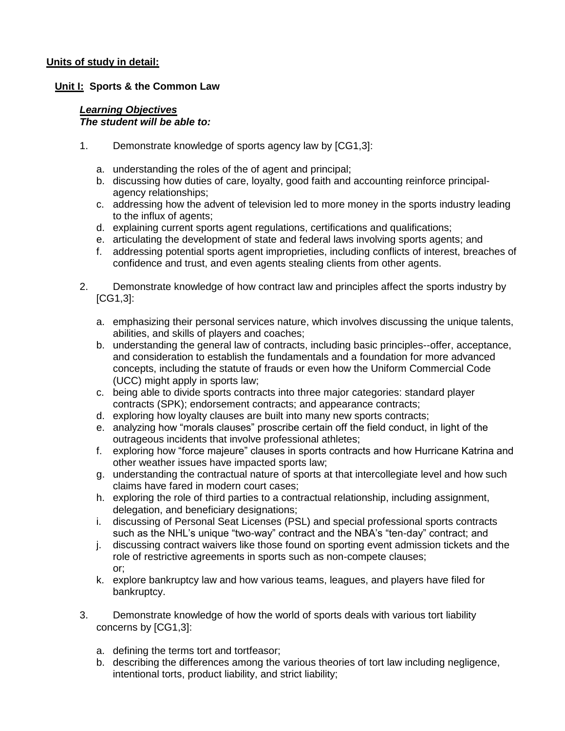## **Units of study in detail:**

## **Unit I: Sports & the Common Law**

#### *Learning Objectives The student will be able to:*

- 1. Demonstrate knowledge of sports agency law by [CG1,3]:
	- a. understanding the roles of the of agent and principal;
	- b. discussing how duties of care, loyalty, good faith and accounting reinforce principalagency relationships;
	- c. addressing how the advent of television led to more money in the sports industry leading to the influx of agents;
	- d. explaining current sports agent regulations, certifications and qualifications;
	- e. articulating the development of state and federal laws involving sports agents; and
	- f. addressing potential sports agent improprieties, including conflicts of interest, breaches of confidence and trust, and even agents stealing clients from other agents.
- 2. Demonstrate knowledge of how contract law and principles affect the sports industry by [CG1,3]:
	- a. emphasizing their personal services nature, which involves discussing the unique talents, abilities, and skills of players and coaches;
	- b. understanding the general law of contracts, including basic principles--offer, acceptance, and consideration to establish the fundamentals and a foundation for more advanced concepts, including the statute of frauds or even how the Uniform Commercial Code (UCC) might apply in sports law;
	- c. being able to divide sports contracts into three major categories: standard player contracts (SPK); endorsement contracts; and appearance contracts;
	- d. exploring how loyalty clauses are built into many new sports contracts;
	- e. analyzing how "morals clauses" proscribe certain off the field conduct, in light of the outrageous incidents that involve professional athletes;
	- f. exploring how "force majeure" clauses in sports contracts and how Hurricane Katrina and other weather issues have impacted sports law;
	- g. understanding the contractual nature of sports at that intercollegiate level and how such claims have fared in modern court cases;
	- h. exploring the role of third parties to a contractual relationship, including assignment, delegation, and beneficiary designations;
	- i. discussing of Personal Seat Licenses (PSL) and special professional sports contracts such as the NHL's unique "two-way" contract and the NBA's "ten-day" contract; and
	- j. discussing contract waivers like those found on sporting event admission tickets and the role of restrictive agreements in sports such as non-compete clauses; or;
	- k. explore bankruptcy law and how various teams, leagues, and players have filed for bankruptcy.
- 3. Demonstrate knowledge of how the world of sports deals with various tort liability concerns by [CG1,3]:
	- a. defining the terms tort and tortfeasor;
	- b. describing the differences among the various theories of tort law including negligence, intentional torts, product liability, and strict liability;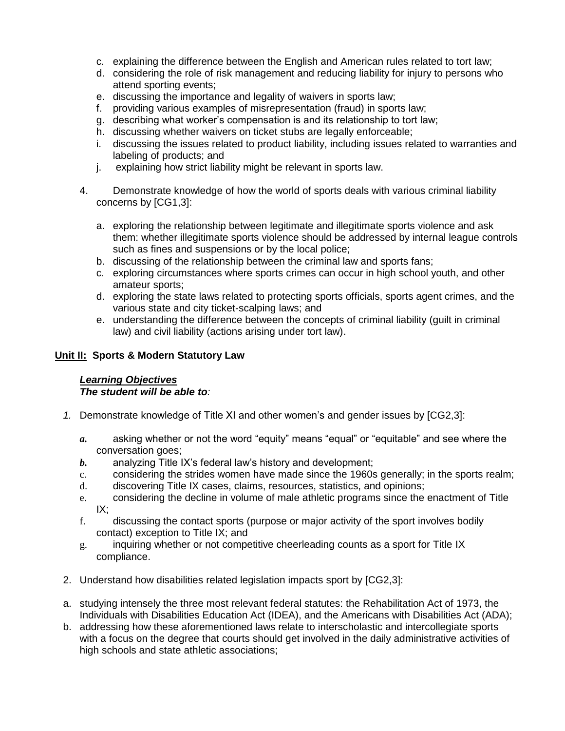- c. explaining the difference between the English and American rules related to tort law;
- d. considering the role of risk management and reducing liability for injury to persons who attend sporting events;
- e. discussing the importance and legality of waivers in sports law;
- f. providing various examples of misrepresentation (fraud) in sports law;
- g. describing what worker's compensation is and its relationship to tort law;
- h. discussing whether waivers on ticket stubs are legally enforceable;
- i. discussing the issues related to product liability, including issues related to warranties and labeling of products; and
- j. explaining how strict liability might be relevant in sports law.
- 4. Demonstrate knowledge of how the world of sports deals with various criminal liability concerns by [CG1,3]:
	- a. exploring the relationship between legitimate and illegitimate sports violence and ask them: whether illegitimate sports violence should be addressed by internal league controls such as fines and suspensions or by the local police;
	- b. discussing of the relationship between the criminal law and sports fans;
	- c. exploring circumstances where sports crimes can occur in high school youth, and other amateur sports;
	- d. exploring the state laws related to protecting sports officials, sports agent crimes, and the various state and city ticket-scalping laws; and
	- e. understanding the difference between the concepts of criminal liability (guilt in criminal law) and civil liability (actions arising under tort law).

# **Unit II: Sports & Modern Statutory Law**

#### *Learning Objectives The student will be able to:*

- *1.* Demonstrate knowledge of Title XI and other women's and gender issues by [CG2,3]:
	- *a.* asking whether or not the word "equity" means "equal" or "equitable" and see where the conversation goes;
	- *b.* analyzing Title IX's federal law's history and development;
	- c. considering the strides women have made since the 1960s generally; in the sports realm;
	- d. discovering Title IX cases, claims, resources, statistics, and opinions;
	- e. considering the decline in volume of male athletic programs since the enactment of Title  $IX:$
	- f. discussing the contact sports (purpose or major activity of the sport involves bodily contact) exception to Title IX; and
	- g. inquiring whether or not competitive cheerleading counts as a sport for Title IX compliance.
- 2. Understand how disabilities related legislation impacts sport by [CG2,3]:
- a. studying intensely the three most relevant federal statutes: the Rehabilitation Act of 1973, the Individuals with Disabilities Education Act (IDEA), and the Americans with Disabilities Act (ADA);
- b. addressing how these aforementioned laws relate to interscholastic and intercollegiate sports with a focus on the degree that courts should get involved in the daily administrative activities of high schools and state athletic associations;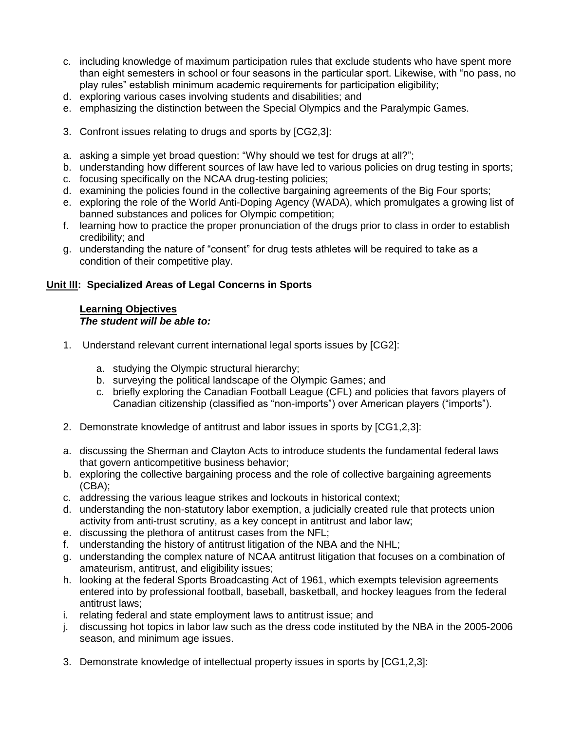- c. including knowledge of maximum participation rules that exclude students who have spent more than eight semesters in school or four seasons in the particular sport. Likewise, with "no pass, no play rules" establish minimum academic requirements for participation eligibility;
- d. exploring various cases involving students and disabilities; and
- e. emphasizing the distinction between the Special Olympics and the Paralympic Games.
- 3. Confront issues relating to drugs and sports by [CG2,3]:
- a. asking a simple yet broad question: "Why should we test for drugs at all?";
- b. understanding how different sources of law have led to various policies on drug testing in sports;
- c. focusing specifically on the NCAA drug-testing policies;
- d. examining the policies found in the collective bargaining agreements of the Big Four sports;
- e. exploring the role of the World Anti-Doping Agency (WADA), which promulgates a growing list of banned substances and polices for Olympic competition;
- f. learning how to practice the proper pronunciation of the drugs prior to class in order to establish credibility; and
- g. understanding the nature of "consent" for drug tests athletes will be required to take as a condition of their competitive play.

# **Unit III: Specialized Areas of Legal Concerns in Sports**

### **Learning Objectives** *The student will be able to:*

- 1. Understand relevant current international legal sports issues by [CG2]:
	- a. studying the Olympic structural hierarchy;
	- b. surveying the political landscape of the Olympic Games; and
	- c. briefly exploring the Canadian Football League (CFL) and policies that favors players of Canadian citizenship (classified as "non-imports") over American players ("imports").
- 2. Demonstrate knowledge of antitrust and labor issues in sports by [CG1,2,3]:
- a. discussing the Sherman and Clayton Acts to introduce students the fundamental federal laws that govern anticompetitive business behavior;
- b. exploring the collective bargaining process and the role of collective bargaining agreements (CBA);
- c. addressing the various league strikes and lockouts in historical context;
- d. understanding the non-statutory labor exemption, a judicially created rule that protects union activity from anti-trust scrutiny, as a key concept in antitrust and labor law;
- e. discussing the plethora of antitrust cases from the NFL;
- f. understanding the history of antitrust litigation of the NBA and the NHL;
- g. understanding the complex nature of NCAA antitrust litigation that focuses on a combination of amateurism, antitrust, and eligibility issues;
- h. looking at the federal Sports Broadcasting Act of 1961, which exempts television agreements entered into by professional football, baseball, basketball, and hockey leagues from the federal antitrust laws;
- i. relating federal and state employment laws to antitrust issue; and
- j. discussing hot topics in labor law such as the dress code instituted by the NBA in the 2005-2006 season, and minimum age issues.
- 3. Demonstrate knowledge of intellectual property issues in sports by [CG1,2,3]: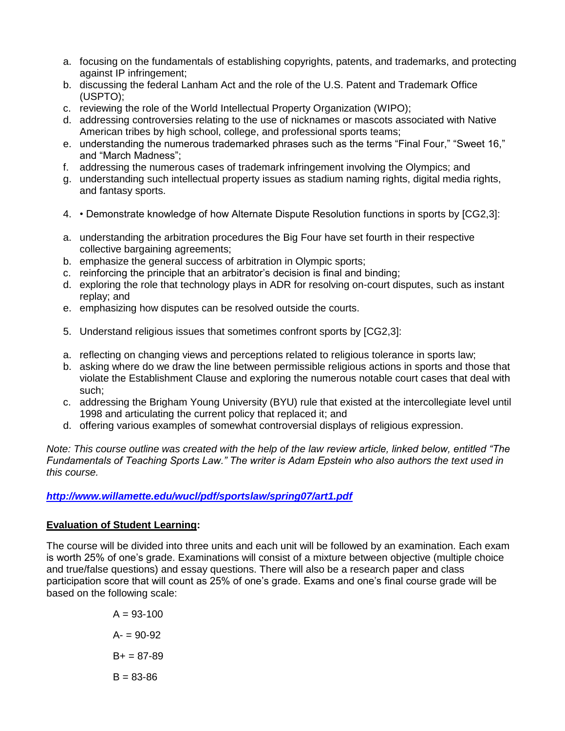- a. focusing on the fundamentals of establishing copyrights, patents, and trademarks, and protecting against IP infringement;
- b. discussing the federal Lanham Act and the role of the U.S. Patent and Trademark Office (USPTO);
- c. reviewing the role of the World Intellectual Property Organization (WIPO);
- d. addressing controversies relating to the use of nicknames or mascots associated with Native American tribes by high school, college, and professional sports teams;
- e. understanding the numerous trademarked phrases such as the terms "Final Four," "Sweet 16," and "March Madness";
- f. addressing the numerous cases of trademark infringement involving the Olympics; and
- g. understanding such intellectual property issues as stadium naming rights, digital media rights, and fantasy sports.
- 4. Demonstrate knowledge of how Alternate Dispute Resolution functions in sports by [CG2,3]:
- a. understanding the arbitration procedures the Big Four have set fourth in their respective collective bargaining agreements;
- b. emphasize the general success of arbitration in Olympic sports;
- c. reinforcing the principle that an arbitrator's decision is final and binding;
- d. exploring the role that technology plays in ADR for resolving on-court disputes, such as instant replay; and
- e. emphasizing how disputes can be resolved outside the courts.
- 5. Understand religious issues that sometimes confront sports by [CG2,3]:
- a. reflecting on changing views and perceptions related to religious tolerance in sports law;
- b. asking where do we draw the line between permissible religious actions in sports and those that violate the Establishment Clause and exploring the numerous notable court cases that deal with such;
- c. addressing the Brigham Young University (BYU) rule that existed at the intercollegiate level until 1998 and articulating the current policy that replaced it; and
- d. offering various examples of somewhat controversial displays of religious expression.

*Note: This course outline was created with the help of the law review article, linked below, entitled "The Fundamentals of Teaching Sports Law." The writer is Adam Epstein who also authors the text used in this course.*

# *<http://www.willamette.edu/wucl/pdf/sportslaw/spring07/art1.pdf>*

# **Evaluation of Student Learning:**

The course will be divided into three units and each unit will be followed by an examination. Each exam is worth 25% of one's grade. Examinations will consist of a mixture between objective (multiple choice and true/false questions) and essay questions. There will also be a research paper and class participation score that will count as 25% of one's grade. Exams and one's final course grade will be based on the following scale:

> $A = 93 - 100$  $A = 90 - 92$  $B+ = 87-89$  $B = 83 - 86$